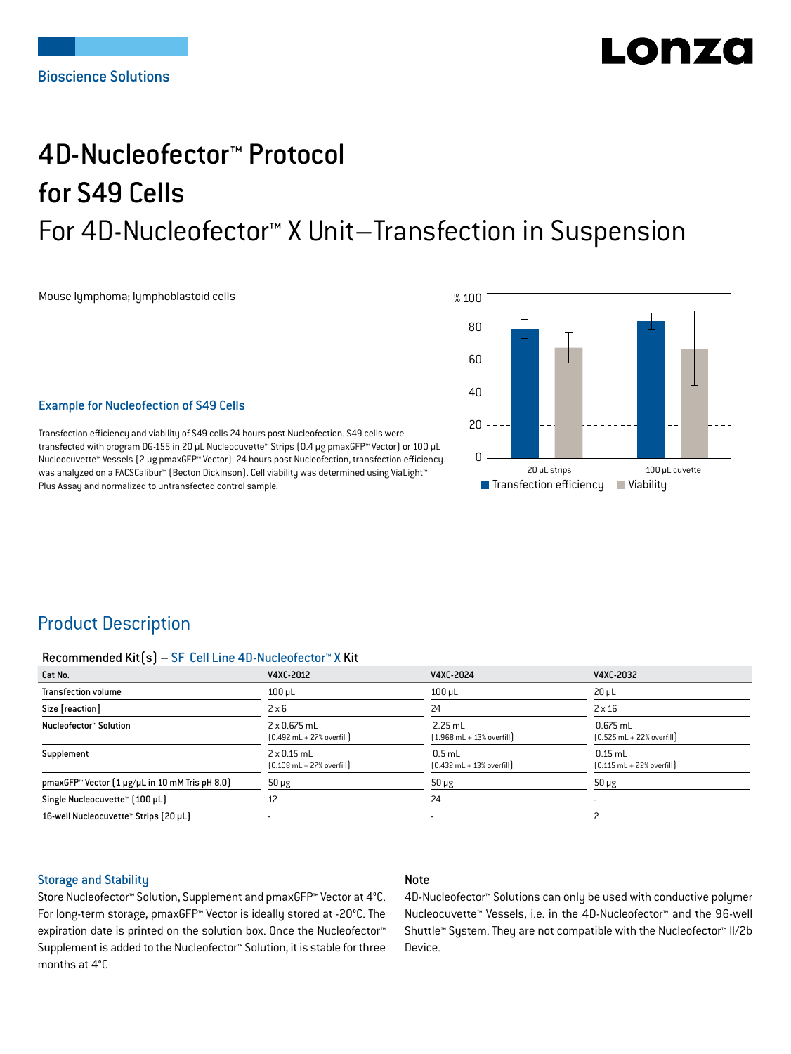# LONZ

## 4D-Nucleofector™ Protocol for S49 Cells For 4D-Nucleofector™ X Unit–Transfection in Suspension

Mouse lymphoma; lymphoblastoid cells



#### Example for Nucleofection of S49 Cells

Transfection efficiency and viability of S49 cells 24 hours post Nucleofection. S49 cells were transfected with program DG-155 in 20 μL Nucleocuvette™ Strips (0.4 μg pmaxGFP™ Vector) or 100 μL Nucleocuvette™ Vessels (2 μg pmaxGFP™ Vector). 24 hours post Nucleofection, transfection efficiency was analyzed on a FACSCalibur™ (Becton Dickinson). Cell viability was determined using ViaLight™ Plus Assay and normalized to untransfected control sample.

### Product Description

#### Recommended Kit(s) – SF Cell Line 4D-Nucleofector™ X Kit

| Cat No.                                                           | V4XC-2012                                                           | V4XC-2024                                                 | V4XC-2032                                                  |
|-------------------------------------------------------------------|---------------------------------------------------------------------|-----------------------------------------------------------|------------------------------------------------------------|
| <b>Transfection volume</b>                                        | $100 \mu L$                                                         | $100$ $\mu$ L                                             | $20 \mu L$                                                 |
| Size [reaction]                                                   | $2 \times 6$                                                        | 24                                                        | $2 \times 16$                                              |
| Nucleofector™ Solution                                            | $2 \times 0.675$ mL<br>$[0.492 \text{ mL} + 27\% \text{ overfill}]$ | $2.25$ mL<br>$[1.968 \text{ mL} + 13\% \text{ overfill}]$ | $0.675$ mL<br>$[0.525 \text{ mL} + 22\% \text{ overfill}]$ |
| Supplement                                                        | $2 \times 0.15$ mL<br>$[0.108 \text{ mL} + 27\% \text{ overfill}]$  | $0.5$ mL<br>$[0.432 \text{ mL} + 13\% \text{ overfill}]$  | $0.15$ mL<br>$[0.115 \text{ mL} + 22\% \text{ overfill}]$  |
| pmaxGFP <sup>*</sup> Vector $[1 \mu g/\mu L$ in 10 mM Tris pH 8.0 | $50 \mu g$                                                          | $50 \mu g$                                                | $50 \mu g$                                                 |
| Single Nucleocuvette™ [100 µL]                                    | 12                                                                  | 24                                                        |                                                            |
| 16-well Nucleocuvette™ Strips (20 µL)                             |                                                                     | $\overline{\phantom{a}}$                                  |                                                            |

### Storage and Stability

#### Note

Store Nucleofector™ Solution, Supplement and pmaxGFP™ Vector at 4°C. For long-term storage, pmaxGFP™ Vector is ideally stored at -20°C. The expiration date is printed on the solution box. Once the Nucleofector™ Supplement is added to the Nucleofector™ Solution, it is stable for three months at 4°C

4D-Nucleofector™ Solutions can only be used with conductive polymer Nucleocuvette™ Vessels, i.e. in the 4D-Nucleofector™ and the 96-well Shuttle™ System. They are not compatible with the Nucleofector™ II/2b Device.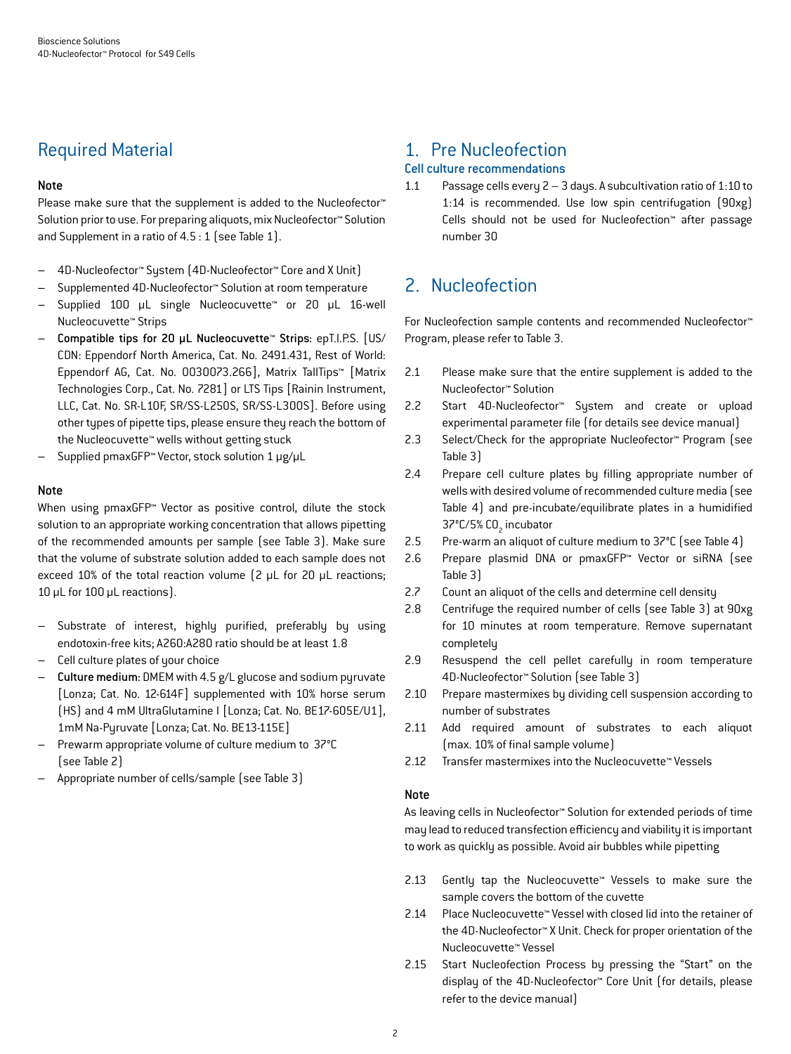### Required Material

### Note

Please make sure that the supplement is added to the Nucleofector<sup>™</sup> Solution prior to use. For preparing aliquots, mix Nucleofector™ Solution and Supplement in a ratio of 4.5 : 1 (see Table 1).

- 4D-Nucleofector™ System (4D-Nucleofector™ Core and X Unit)
- Supplemented 4D-Nucleofector™ Solution at room temperature
- Supplied 100 µL single Nucleocuvette™ or 20 µL 16-well Nucleocuvette™ Strips
- Compatible tips for 20 µL Nucleocuvette™ Strips: epT.I.P.S. [US/ CDN: Eppendorf North America, Cat. No. 2491.431, Rest of World: Eppendorf AG, Cat. No. 0030073.266], Matrix TallTips™ [Matrix Technologies Corp., Cat. No. 7281] or LTS Tips [Rainin Instrument, LLC, Cat. No. SR-L10F, SR/SS-L250S, SR/SS-L300S]. Before using other types of pipette tips, please ensure they reach the bottom of the Nucleocuvette™ wells without getting stuck
- Supplied pmaxGFP™ Vector, stock solution 1 μg/μL

### Note

When using pmaxGFP™ Vector as positive control, dilute the stock solution to an appropriate working concentration that allows pipetting of the recommended amounts per sample (see Table 3). Make sure that the volume of substrate solution added to each sample does not exceed 10% of the total reaction volume (2 μL for 20 μL reactions; 10 μL for 100 μL reactions).

- Substrate of interest, highly purified, preferably by using endotoxin-free kits; A260:A280 ratio should be at least 1.8
- Cell culture plates of your choice
- Culture medium: DMEM with 4.5 g/L glucose and sodium pyruvate [Lonza; Cat. No. 12-614F] supplemented with 10% horse serum (HS) and 4 mM UltraGlutamine I [Lonza; Cat. No. BE17-605E/U1], 1mM Na-Pyruvate [Lonza; Cat. No. BE13-115E]
- Prewarm appropriate volume of culture medium to 37°C (see Table 2)
- Appropriate number of cells/sample (see Table 3)

### 1. Pre Nucleofection

### Cell culture recommendations

1.1 Passage cells every 2 – 3 days. A subcultivation ratio of 1:10 to 1:14 is recommended. Use low spin centrifugation (90xg) Cells should not be used for Nucleofection™ after passage number 30

### 2. Nucleofection

For Nucleofection sample contents and recommended Nucleofector™ Program, please refer to Table 3.

- 2.1 Please make sure that the entire supplement is added to the Nucleofector™ Solution
- 2.2 Start 4D-Nucleofector™ System and create or upload experimental parameter file (for details see device manual)
- 2.3 Select/Check for the appropriate Nucleofector™ Program (see Table 3)
- 2.4 Prepare cell culture plates by filling appropriate number of wells with desired volume of recommended culture media (see Table 4) and pre-incubate/equilibrate plates in a humidified 37°C/5% CO<sub>2</sub> incubator
- 2.5 Pre-warm an aliquot of culture medium to 37°C (see Table 4)
- 2.6 Prepare plasmid DNA or pmaxGFP™ Vector or siRNA (see Table 3)
- 2.7 Count an aliquot of the cells and determine cell density
- 2.8 Centrifuge the required number of cells (see Table 3) at 90xg for 10 minutes at room temperature. Remove supernatant completely
- 2.9 Resuspend the cell pellet carefully in room temperature 4D-Nucleofector™ Solution (see Table 3)
- 2.10 Prepare mastermixes by dividing cell suspension according to number of substrates
- 2.11 Add required amount of substrates to each aliquot (max. 10% of final sample volume)
- 2.12 Transfer mastermixes into the Nucleocuvette™ Vessels

### Note

As leaving cells in Nucleofector™ Solution for extended periods of time may lead to reduced transfection efficiency and viability it is important to work as quickly as possible. Avoid air bubbles while pipetting

- 2.13 Gently tap the Nucleocuvette™ Vessels to make sure the sample covers the bottom of the cuvette
- 2.14 Place Nucleocuvette™ Vessel with closed lid into the retainer of the 4D-Nucleofector™ X Unit. Check for proper orientation of the Nucleocuvette™ Vessel
- 2.15 Start Nucleofection Process by pressing the "Start" on the display of the 4D-Nucleofector™ Core Unit (for details, please refer to the device manual)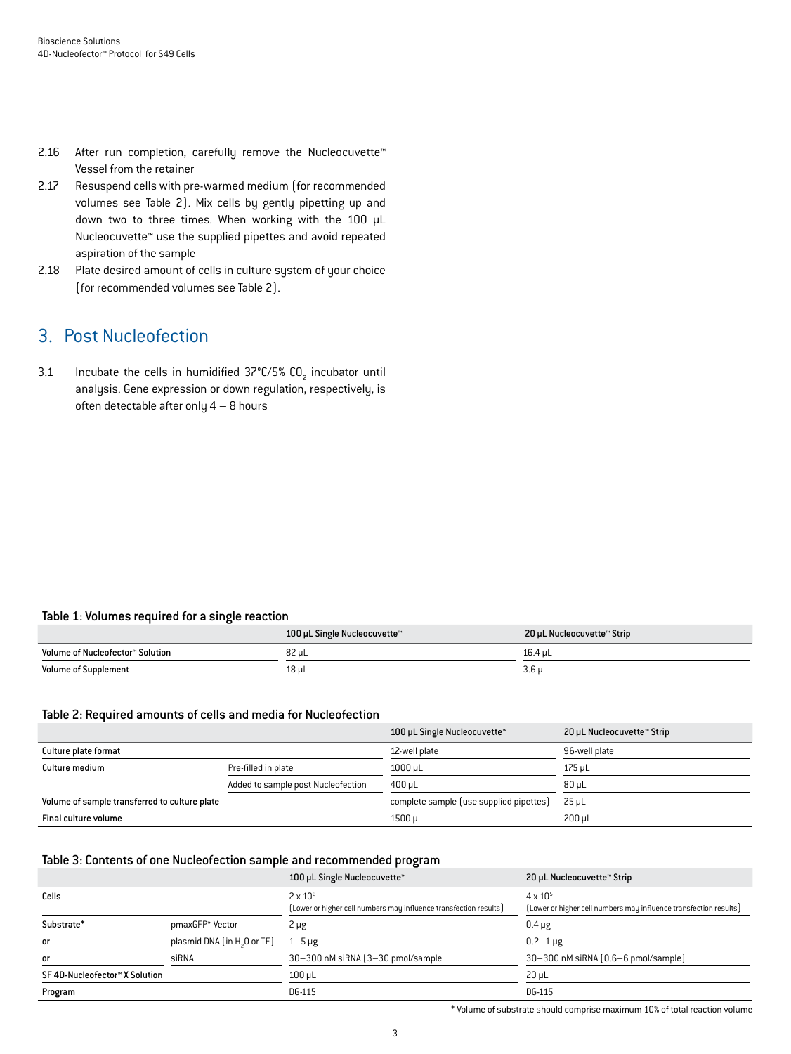- 2.16 After run completion, carefully remove the Nucleocuvette™ Vessel from the retainer
- 2.17 Resuspend cells with pre-warmed medium (for recommended volumes see Table 2). Mix cells by gently pipetting up and down two to three times. When working with the 100 µL Nucleocuvette™ use the supplied pipettes and avoid repeated aspiration of the sample
- 2.18 Plate desired amount of cells in culture system of your choice (for recommended volumes see Table 2).

### 3. Post Nucleofection

3.1 Incubate the cells in humidified  $37^{\circ}$ C/5% CO<sub>2</sub> incubator until analysis. Gene expression or down regulation, respectively, is often detectable after only  $4 - 8$  hours

### Table 1: Volumes required for a single reaction

|                                  | 100 µL Single Nucleocuvette™ | 20 µL Nucleocuvette™ Strip |
|----------------------------------|------------------------------|----------------------------|
| Volume of Nucleofector™ Solution | 82 uL                        | 16.4 uL                    |
| <b>Volume of Supplement</b>      | $18$ µL                      | $3.6 \mu L$                |

#### Table 2: Required amounts of cells and media for Nucleofection

|                                               |                                    | 100 µL Single Nucleocuvette™            | 20 µL Nucleocuvette™ Strip |
|-----------------------------------------------|------------------------------------|-----------------------------------------|----------------------------|
| Culture plate format                          |                                    | 12-well plate                           | 96-well plate              |
| Culture medium                                | Pre-filled in plate                | $1000 \mu L$                            | 175 uL                     |
|                                               | Added to sample post Nucleofection | $400 \mu L$                             | $80 \mu L$                 |
| Volume of sample transferred to culture plate |                                    | complete sample (use supplied pipettes) | $25 \mu L$                 |
| Final culture volume                          |                                    | 1500 uL                                 | 200 uL                     |

#### Table 3: Contents of one Nucleofection sample and recommended program

|                                |                                         | 100 µL Single Nucleocuvette™                                                         | 20 µL Nucleocuvette™ Strip                                                             |
|--------------------------------|-----------------------------------------|--------------------------------------------------------------------------------------|----------------------------------------------------------------------------------------|
| Cells                          |                                         | $2 \times 10^6$<br>(Lower or higher cell numbers may influence transfection results) | $4 \times 10^{5}$<br>[Lower or higher cell numbers may influence transfection results] |
| Substrate*                     | pmaxGFP™ Vector                         | $2 \mu g$                                                                            | $0.4 \mu g$                                                                            |
| or                             | plasmid DNA (in H <sub>2</sub> O or TE) | $1-5 \mu g$                                                                          | $0.2 - 1 \,\mu g$                                                                      |
| <b>or</b>                      | siRNA                                   | 30-300 nM siRNA (3-30 pmol/sample)                                                   | 30-300 nM siRNA (0.6-6 pmol/sample)                                                    |
| SF 4D-Nucleofector™ X Solution |                                         | $100 \mu L$                                                                          | $20 \mu L$                                                                             |
| Program                        |                                         | DG-115                                                                               | DG-115                                                                                 |

\* Volume of substrate should comprise maximum 10% of total reaction volume